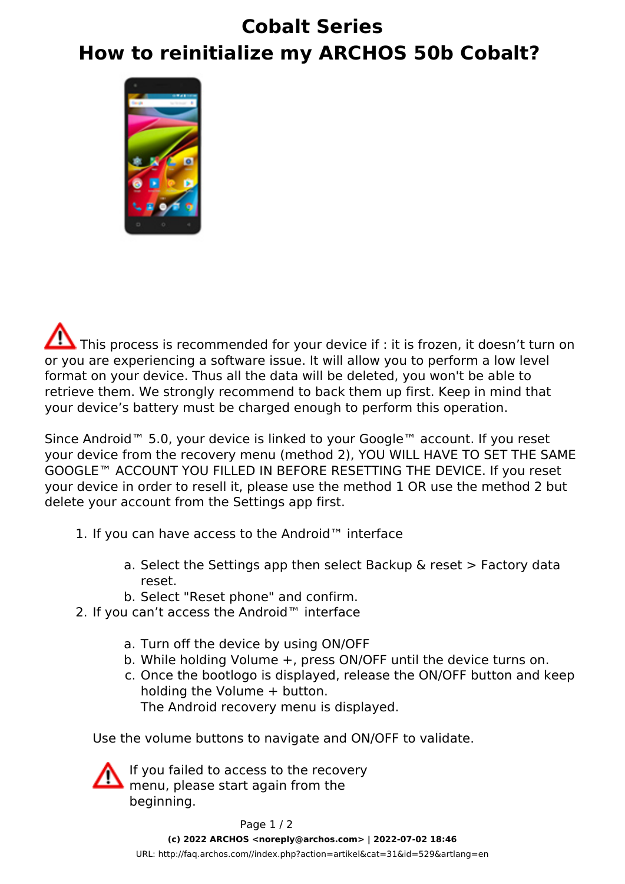## **Cobalt Series How to reinitialize my ARCHOS 50b Cobalt?**



This process is recommended for your device if : it is frozen, it doesn't turn on or you are experiencing a software issue. It will allow you to perform a low level format on your device. Thus all the data will be deleted, you won't be able to retrieve them. We strongly recommend to back them up first. Keep in mind that your device's battery must be charged enough to perform this operation.

Since Android™ 5.0, your device is linked to your Google™ account. If you reset your device from the recovery menu (method 2), YOU WILL HAVE TO SET THE SAME GOOGLE™ ACCOUNT YOU FILLED IN BEFORE RESETTING THE DEVICE. If you reset your device in order to resell it, please use the method 1 OR use the method 2 but delete your account from the Settings app first.

- 1. If you can have access to the Android™ interface
	- a. Select the Settings app then select Backup & reset > Factory data reset.
	- b. Select "Reset phone" and confirm.
- 2. If you can't access the Android™ interface
	- a. Turn off the device by using ON/OFF
	- b. While holding Volume +, press ON/OFF until the device turns on.
	- c. Once the bootlogo is displayed, release the ON/OFF button and keep holding the Volume + button. The Android recovery menu is displayed.

Use the volume buttons to navigate and ON/OFF to validate.



If you failed to access to the recovery menu, please start again from the beginning.

Page 1 / 2 **(c) 2022 ARCHOS <noreply@archos.com> | 2022-07-02 18:46** [URL: http://faq.archos.com//index.php?action=artikel&cat=31&id=529&artlang=en](http://faq.archos.com//index.php?action=artikel&cat=31&id=529&artlang=en)